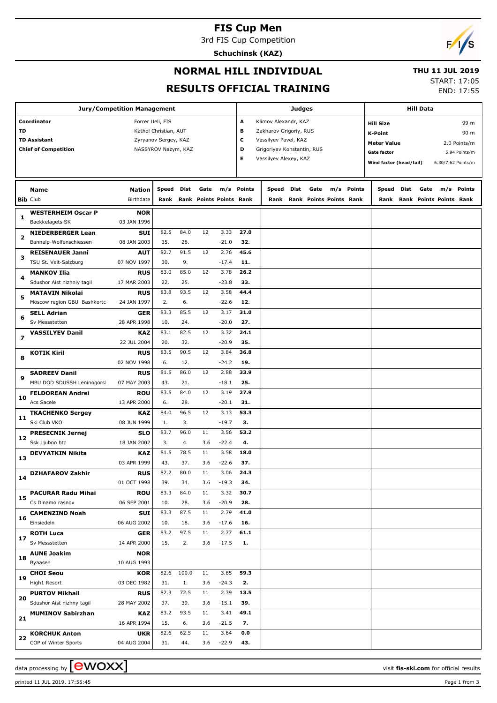## **FIS Cup Men**

3rd FIS Cup Competition

**Schuchinsk (KAZ)**



#### **NORMAL HILL INDIVIDUAL**

#### **THU 11 JUL 2019**

**RESULTS OFFICIAL TRAINING**

| START: 17:05 |            |
|--------------|------------|
|              | END: 17:55 |

|                          | <b>Jury/Competition Management</b>                 |                           |                       |             | <b>Hill Data</b> |                         |             |                            |      |                         |  |            |                         |      |      |                              |                    |
|--------------------------|----------------------------------------------------|---------------------------|-----------------------|-------------|------------------|-------------------------|-------------|----------------------------|------|-------------------------|--|------------|-------------------------|------|------|------------------------------|--------------------|
|                          | Coordinator                                        | Forrer Ueli, FIS          |                       |             |                  |                         | A           | Klimov Alexandr, KAZ       |      |                         |  |            | <b>Hill Size</b>        |      |      |                              | 99 m               |
| TD                       |                                                    |                           | Kathol Christian, AUT |             |                  |                         | В           | Zakharov Grigoriy, RUS     |      |                         |  |            | <b>K-Point</b>          |      |      |                              | 90 m               |
|                          | <b>TD Assistant</b>                                |                           | Zyryanov Sergey, KAZ  |             |                  |                         | c           | Vassilyev Pavel, KAZ       |      |                         |  |            |                         |      |      |                              |                    |
|                          | <b>Chief of Competition</b>                        |                           | NASSYROV Nazym, KAZ   |             |                  |                         | D           | Grigoriyev Konstantin, RUS |      |                         |  |            | <b>Meter Value</b>      |      |      |                              | 2.0 Points/m       |
|                          |                                                    |                           |                       |             |                  |                         | Е           | Vassilyev Alexey, KAZ      |      |                         |  |            | <b>Gate factor</b>      |      |      |                              | 5.94 Points/m      |
|                          |                                                    |                           |                       |             |                  |                         |             |                            |      |                         |  |            | Wind factor (head/tail) |      |      |                              | 6.30/7.62 Points/m |
|                          |                                                    |                           |                       |             |                  |                         |             |                            |      |                         |  |            |                         |      |      |                              |                    |
|                          | <b>Name</b>                                        | <b>Nation</b>             | Speed                 | Dist        | Gate             |                         | m/s Points  | Speed                      | Dist | Gate                    |  | m/s Points | Speed                   | Dist | Gate |                              | m/s Points         |
|                          | <b>Bib Club</b>                                    | <b>Birthdate</b>          | Rank                  |             |                  | Rank Points Points Rank |             | Rank                       |      | Rank Points Points Rank |  |            |                         |      |      | Rank Rank Points Points Rank |                    |
|                          | <b>WESTERHEIM Oscar P</b>                          | <b>NOR</b>                |                       |             |                  |                         |             |                            |      |                         |  |            |                         |      |      |                              |                    |
| 1                        | Baekkelagets SK                                    | 03 JAN 1996               |                       |             |                  |                         |             |                            |      |                         |  |            |                         |      |      |                              |                    |
|                          | <b>NIEDERBERGER Lean</b>                           | <b>SUI</b>                | 82.5                  | 84.0        | 12               | 3.33                    | 27.0        |                            |      |                         |  |            |                         |      |      |                              |                    |
| 2                        | Bannalp-Wolfenschiessen                            | 08 JAN 2003               | 35.                   | 28.         |                  | $-21.0$                 | 32.         |                            |      |                         |  |            |                         |      |      |                              |                    |
|                          | <b>REISENAUER Janni</b>                            | <b>AUT</b>                | 82.7                  | 91.5        | 12               | 2.76                    | 45.6        |                            |      |                         |  |            |                         |      |      |                              |                    |
| з                        | TSU St. Veit-Salzburg                              | 07 NOV 1997               | 30.                   | 9.          |                  | $-17.4$                 | 11.         |                            |      |                         |  |            |                         |      |      |                              |                    |
|                          | <b>MANKOV Ilia</b>                                 | <b>RUS</b>                | 83.0                  | 85.0        | 12               | 3.78                    | 26.2        |                            |      |                         |  |            |                         |      |      |                              |                    |
| 4                        | Sdushor Aist nizhniy tagil                         | 17 MAR 2003               | 22.                   | 25.         |                  | $-23.8$                 | 33.         |                            |      |                         |  |            |                         |      |      |                              |                    |
|                          | <b>MATAVIN Nikolai</b>                             | <b>RUS</b>                | 83.8                  | 93.5        | 12               | 3.58                    | 44.4        |                            |      |                         |  |            |                         |      |      |                              |                    |
| 5                        | Moscow region GBU Bashkortc                        | 24 JAN 1997               | 2.                    | 6.          |                  | $-22.6$                 | 12.         |                            |      |                         |  |            |                         |      |      |                              |                    |
| 6                        | <b>SELL Adrian</b>                                 | GER                       | 83.3                  | 85.5        | 12               | 3.17                    | 31.0        |                            |      |                         |  |            |                         |      |      |                              |                    |
|                          | Sv Messstetten                                     | 28 APR 1998               | 10.                   | 24.         |                  | $-20.0$                 | 27.         |                            |      |                         |  |            |                         |      |      |                              |                    |
| $\overline{\phantom{a}}$ | <b>VASSILYEV Danil</b>                             | <b>KAZ</b>                | 83.1                  | 82.5        | 12               | 3.32                    | 24.1        |                            |      |                         |  |            |                         |      |      |                              |                    |
|                          |                                                    | 22 JUL 2004               | 20.                   | 32.         |                  | $-20.9$                 | 35.         |                            |      |                         |  |            |                         |      |      |                              |                    |
| 8                        | <b>KOTIK Kiril</b>                                 | <b>RUS</b>                | 83.5                  | 90.5        | 12               | 3.84                    | 36.8        |                            |      |                         |  |            |                         |      |      |                              |                    |
|                          |                                                    | 02 NOV 1998<br><b>RUS</b> | 6.<br>81.5            | 12.<br>86.0 | 12               | $-24.2$<br>2.88         | 19.<br>33.9 |                            |      |                         |  |            |                         |      |      |                              |                    |
| 9                        | <b>SADREEV Danil</b><br>MBU DOD SDUSSH Leninogorsl | 07 MAY 2003               | 43.                   | 21.         |                  | $-18.1$                 | 25.         |                            |      |                         |  |            |                         |      |      |                              |                    |
|                          | <b>FELDOREAN Andrei</b>                            | <b>ROU</b>                | 83.5                  | 84.0        | 12               | 3.19                    | 27.9        |                            |      |                         |  |            |                         |      |      |                              |                    |
| 10                       | Acs Sacele                                         | 13 APR 2000               | 6.                    | 28.         |                  | $-20.1$                 | 31.         |                            |      |                         |  |            |                         |      |      |                              |                    |
|                          | <b>TKACHENKO Sergey</b>                            | <b>KAZ</b>                | 84.0                  | 96.5        | 12               | 3.13                    | 53.3        |                            |      |                         |  |            |                         |      |      |                              |                    |
| 11                       | Ski Club VKO                                       | 08 JUN 1999               | 1.                    | 3.          |                  | $-19.7$                 | 3.          |                            |      |                         |  |            |                         |      |      |                              |                    |
| 12                       | <b>PRESECNIK Jernej</b>                            | <b>SLO</b>                | 83.7                  | 96.0        | 11               | 3.56                    | 53.2        |                            |      |                         |  |            |                         |      |      |                              |                    |
|                          | Ssk Ljubno btc                                     | 18 JAN 2002               | 3.                    | 4.          | 3.6              | $-22.4$                 | 4.          |                            |      |                         |  |            |                         |      |      |                              |                    |
| 13                       | <b>DEVYATKIN Nikita</b>                            | <b>KAZ</b>                | 81.5                  | 78.5        | 11               | 3.58                    | 18.0        |                            |      |                         |  |            |                         |      |      |                              |                    |
|                          |                                                    | 03 APR 1999               | 43.                   | 37.         | 3.6              | $-22.6$                 | 37.         |                            |      |                         |  |            |                         |      |      |                              |                    |
| 14                       | <b>DZHAFAROV Zakhir</b>                            | <b>RUS</b>                | 82.2                  | 80.0        | 11               | 3.06                    | 24.3        |                            |      |                         |  |            |                         |      |      |                              |                    |
|                          |                                                    | 01 OCT 1998               | 39.                   | 34.         | 3.6              | $-19.3$                 | 34.         |                            |      |                         |  |            |                         |      |      |                              |                    |
| 15                       | <b>PACURAR Radu Mihai</b>                          | <b>ROU</b>                | 83.3                  | 84.0        | 11               | 3.32                    | 30.7        |                            |      |                         |  |            |                         |      |      |                              |                    |
|                          | Cs Dinamo rasnov                                   | 06 SEP 2001               | 10.                   | 28.         | 3.6              | $-20.9$                 | 28.         |                            |      |                         |  |            |                         |      |      |                              |                    |
| 16                       | <b>CAMENZIND Noah</b><br>Einsiedeln                | <b>SUI</b><br>06 AUG 2002 | 83.3<br>10.           | 87.5<br>18. | 11<br>3.6        | 2.79<br>$-17.6$         | 41.0<br>16. |                            |      |                         |  |            |                         |      |      |                              |                    |
|                          | <b>ROTH Luca</b>                                   | <b>GER</b>                | 83.2                  | 97.5        | 11               | 2.77                    | 61.1        |                            |      |                         |  |            |                         |      |      |                              |                    |
| 17                       | Sv Messstetten                                     | 14 APR 2000               | 15.                   | 2.          | 3.6              | $-17.5$                 | 1.          |                            |      |                         |  |            |                         |      |      |                              |                    |
|                          | <b>AUNE Joakim</b>                                 | <b>NOR</b>                |                       |             |                  |                         |             |                            |      |                         |  |            |                         |      |      |                              |                    |
| 18                       | Byaasen                                            | 10 AUG 1993               |                       |             |                  |                         |             |                            |      |                         |  |            |                         |      |      |                              |                    |
|                          | <b>CHOI Seou</b>                                   | <b>KOR</b>                | 82.6                  | 100.0       | 11               | 3.85                    | 59.3        |                            |      |                         |  |            |                         |      |      |                              |                    |
| 19                       | High1 Resort                                       | 03 DEC 1982               | 31.                   | 1.          | 3.6              | $-24.3$                 | 2.          |                            |      |                         |  |            |                         |      |      |                              |                    |
| 20                       | <b>PURTOV Mikhail</b>                              | <b>RUS</b>                | 82.3                  | 72.5        | 11               | 2.39                    | 13.5        |                            |      |                         |  |            |                         |      |      |                              |                    |
|                          | Sdushor Aist nizhny tagil                          | 28 MAY 2002               | 37.                   | 39.         | 3.6              | $-15.1$                 | 39.         |                            |      |                         |  |            |                         |      |      |                              |                    |
| 21                       | <b>MUMINOV Sabirzhan</b>                           | <b>KAZ</b>                | 83.2                  | 93.5        | 11               | 3.41                    | 49.1        |                            |      |                         |  |            |                         |      |      |                              |                    |
|                          |                                                    | 16 APR 1994               | 15.                   | 6.          | 3.6              | $-21.5$                 | 7.          |                            |      |                         |  |            |                         |      |      |                              |                    |
| 22                       | <b>KORCHUK Anton</b>                               | <b>UKR</b>                | 82.6                  | 62.5        | 11               | 3.64                    | 0.0         |                            |      |                         |  |            |                         |      |      |                              |                    |
|                          | COP of Winter Sports                               | 04 AUG 2004               | 31.                   | 44.         | 3.6              | $-22.9$                 | 43.         |                            |      |                         |  |            |                         |      |      |                              |                    |

data processing by **CWOXX**  $\blacksquare$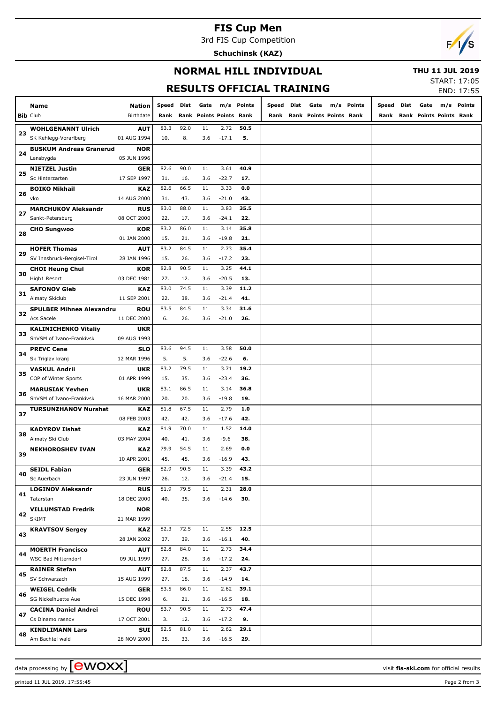# **FIS Cup Men**

3rd FIS Cup Competition

**Schuchinsk (KAZ)**



#### **NORMAL HILL INDIVIDUAL**

 **THU 11 JUL 2019**

# **RESULTS OFFICIAL TRAINING**

| START: 17:05 |  |
|--------------|--|
|              |  |

|    |                                 |               |            |      |                         |         | KESULIS UFFILIAL IKAINING |            |                              |            |       |      |      |                         | END: 17:55 |
|----|---------------------------------|---------------|------------|------|-------------------------|---------|---------------------------|------------|------------------------------|------------|-------|------|------|-------------------------|------------|
|    | Name                            | <b>Nation</b> | Speed Dist |      | Gate                    |         | m/s Points                | Speed Dist | Gate                         | m/s Points | Speed | Dist | Gate |                         | m/s Points |
|    | <b>Bib Club</b>                 | Birthdate     | Rank       |      | Rank Points Points Rank |         |                           |            | Rank Rank Points Points Rank |            | Rank  |      |      | Rank Points Points Rank |            |
|    |                                 |               |            |      |                         |         |                           |            |                              |            |       |      |      |                         |            |
| 23 | <b>WOHLGENANNT Ulrich</b>       | <b>AUT</b>    | 83.3       | 92.0 | 11                      | 2.72    | 50.5                      |            |                              |            |       |      |      |                         |            |
|    | SK Kehlegg-Vorarlberg           | 01 AUG 1994   | 10.        | 8.   | 3.6                     | $-17.1$ | 5.                        |            |                              |            |       |      |      |                         |            |
| 24 | <b>BUSKUM Andreas Granerud</b>  | <b>NOR</b>    |            |      |                         |         |                           |            |                              |            |       |      |      |                         |            |
|    | Lensbygda                       | 05 JUN 1996   |            |      |                         |         |                           |            |                              |            |       |      |      |                         |            |
| 25 | <b>NIETZEL Justin</b>           | GER           | 82.6       | 90.0 | 11                      | 3.61    | 40.9                      |            |                              |            |       |      |      |                         |            |
|    | Sc Hinterzarten                 | 17 SEP 1997   | 31.        | 16.  | 3.6                     | $-22.7$ | 17.                       |            |                              |            |       |      |      |                         |            |
| 26 | <b>BOIKO Mikhail</b>            | KAZ           | 82.6       | 66.5 | 11                      | 3.33    | 0.0                       |            |                              |            |       |      |      |                         |            |
|    | vko                             | 14 AUG 2000   | 31.        | 43.  | 3.6                     | $-21.0$ | 43.                       |            |                              |            |       |      |      |                         |            |
| 27 | <b>MARCHUKOV Aleksandr</b>      | <b>RUS</b>    | 83.0       | 88.0 | 11                      | 3.83    | 35.5                      |            |                              |            |       |      |      |                         |            |
|    | Sankt-Petersburg                | 08 OCT 2000   | 22.        | 17.  | 3.6                     | $-24.1$ | 22.                       |            |                              |            |       |      |      |                         |            |
| 28 | <b>CHO Sungwoo</b>              | <b>KOR</b>    | 83.2       | 86.0 | 11                      | 3.14    | 35.8                      |            |                              |            |       |      |      |                         |            |
|    |                                 | 01 JAN 2000   | 15.        | 21.  | 3.6                     | $-19.8$ | 21.                       |            |                              |            |       |      |      |                         |            |
| 29 | <b>HOFER Thomas</b>             | <b>AUT</b>    | 83.2       | 84.5 | 11                      | 2.73    | 35.4                      |            |                              |            |       |      |      |                         |            |
|    | SV Innsbruck-Bergisel-Tirol     | 28 JAN 1996   | 15.        | 26.  | 3.6                     | $-17.2$ | 23.                       |            |                              |            |       |      |      |                         |            |
| 30 | <b>CHOI Heung Chul</b>          | KOR           | 82.8       | 90.5 | 11                      | 3.25    | 44.1                      |            |                              |            |       |      |      |                         |            |
|    | High1 Resort                    | 03 DEC 1981   | 27.        | 12.  | 3.6                     | $-20.5$ | 13.                       |            |                              |            |       |      |      |                         |            |
| 31 | <b>SAFONOV Gleb</b>             | KAZ           | 83.0       | 74.5 | 11                      | 3.39    | 11.2                      |            |                              |            |       |      |      |                         |            |
|    | <b>Almaty Skiclub</b>           | 11 SEP 2001   | 22.        | 38.  | 3.6                     | $-21.4$ | 41.                       |            |                              |            |       |      |      |                         |            |
| 32 | <b>SPULBER Mihnea Alexandru</b> | <b>ROU</b>    | 83.5       | 84.5 | 11                      | 3.34    | 31.6                      |            |                              |            |       |      |      |                         |            |
|    | Acs Sacele                      | 11 DEC 2000   | 6.         | 26.  | 3.6                     | $-21.0$ | 26.                       |            |                              |            |       |      |      |                         |            |
| 33 | <b>KALINICHENKO Vitaliy</b>     | <b>UKR</b>    |            |      |                         |         |                           |            |                              |            |       |      |      |                         |            |
|    | ShVSM of Ivano-Frankivsk        | 09 AUG 1993   |            |      |                         |         |                           |            |                              |            |       |      |      |                         |            |
| 34 | <b>PREVC Cene</b>               | SLO           | 83.6       | 94.5 | 11                      | 3.58    | 50.0                      |            |                              |            |       |      |      |                         |            |
|    | Sk Triglav kranj                | 12 MAR 1996   | 5.         | 5.   | 3.6                     | $-22.6$ | 6.                        |            |                              |            |       |      |      |                         |            |
| 35 | <b>VASKUL Andrii</b>            | <b>UKR</b>    | 83.2       | 79.5 | 11                      | 3.71    | 19.2                      |            |                              |            |       |      |      |                         |            |
|    | COP of Winter Sports            | 01 APR 1999   | 15.        | 35.  | 3.6                     | $-23.4$ | 36.                       |            |                              |            |       |      |      |                         |            |
| 36 | <b>MARUSIAK Yevhen</b>          | <b>UKR</b>    | 83.1       | 86.5 | 11                      | 3.14    | 36.8                      |            |                              |            |       |      |      |                         |            |
|    | ShVSM of Ivano-Frankivsk        | 16 MAR 2000   | 20.        | 20.  | 3.6                     | $-19.8$ | 19.                       |            |                              |            |       |      |      |                         |            |
| 37 | <b>TURSUNZHANOV Nurshat</b>     | <b>KAZ</b>    | 81.8       | 67.5 | 11                      | 2.79    | 1.0                       |            |                              |            |       |      |      |                         |            |
|    |                                 | 08 FEB 2003   | 42.        | 42.  | 3.6                     | $-17.6$ | 42.                       |            |                              |            |       |      |      |                         |            |
| 38 | <b>KADYROV Ilshat</b>           | KAZ           | 81.9       | 70.0 | 11                      | 1.52    | 14.0                      |            |                              |            |       |      |      |                         |            |
|    | Almaty Ski Club                 | 03 MAY 2004   | 40.        | 41.  | 3.6                     | $-9.6$  | 38.                       |            |                              |            |       |      |      |                         |            |
| 39 | <b>NEKHOROSHEV IVAN</b>         | KAZ           | 79.9       | 54.5 | 11                      | 2.69    | 0.0                       |            |                              |            |       |      |      |                         |            |
|    |                                 | 10 APR 2001   | 45.        | 45.  | 3.6                     | $-16.9$ | 43.                       |            |                              |            |       |      |      |                         |            |
| 40 | <b>SEIDL Fabian</b>             | <b>GER</b>    | 82.9       | 90.5 | 11                      | 3.39    | 43.2                      |            |                              |            |       |      |      |                         |            |
|    | Sc Auerbach                     | 23 JUN 1997   | 26.        | 12.  | 3.6                     | $-21.4$ | 15.                       |            |                              |            |       |      |      |                         |            |
| 41 | <b>LOGINOV Aleksandr</b>        | <b>RUS</b>    | 81.9       | 79.5 | 11                      | 2.31    | 28.0                      |            |                              |            |       |      |      |                         |            |
|    | Tatarstan                       | 18 DEC 2000   | 40.        | 35.  | 3.6                     | $-14.6$ | 30.                       |            |                              |            |       |      |      |                         |            |
| 42 | <b>VILLUMSTAD Fredrik</b>       | <b>NOR</b>    |            |      |                         |         |                           |            |                              |            |       |      |      |                         |            |
|    | SKIMT                           | 21 MAR 1999   |            |      |                         |         |                           |            |                              |            |       |      |      |                         |            |
| 43 | <b>KRAVTSOV Sergey</b>          | <b>KAZ</b>    | 82.3       | 72.5 | 11                      | 2.55    | 12.5                      |            |                              |            |       |      |      |                         |            |
|    |                                 | 28 JAN 2002   | 37.        | 39.  | 3.6                     | $-16.1$ | 40.                       |            |                              |            |       |      |      |                         |            |
| 44 | <b>MOERTH Francisco</b>         | <b>AUT</b>    | 82.8       | 84.0 | 11                      | 2.73    | 34.4                      |            |                              |            |       |      |      |                         |            |
|    | WSC Bad Mitterndorf             | 09 JUL 1999   | 27.        | 28.  | 3.6                     | $-17.2$ | 24.                       |            |                              |            |       |      |      |                         |            |
| 45 | <b>RAINER Stefan</b>            | <b>AUT</b>    | 82.8       | 87.5 | 11                      | 2.37    | 43.7                      |            |                              |            |       |      |      |                         |            |
|    | SV Schwarzach                   | 15 AUG 1999   | 27.        | 18.  | 3.6                     | $-14.9$ | 14.                       |            |                              |            |       |      |      |                         |            |
| 46 | <b>WEIGEL Cedrik</b>            | <b>GER</b>    | 83.5       | 86.0 | 11                      | 2.62    | 39.1                      |            |                              |            |       |      |      |                         |            |
|    | SG Nickelhuette Aue             | 15 DEC 1998   | 6.         | 21.  | 3.6                     | $-16.5$ | 18.                       |            |                              |            |       |      |      |                         |            |
| 47 | <b>CACINA Daniel Andrei</b>     | <b>ROU</b>    | 83.7       | 90.5 | 11                      | 2.73    | 47.4                      |            |                              |            |       |      |      |                         |            |
|    | Cs Dinamo rasnov                | 17 OCT 2001   | 3.         | 12.  | 3.6                     | $-17.2$ | 9.                        |            |                              |            |       |      |      |                         |            |
| 48 | <b>KINDLIMANN Lars</b>          | <b>SUI</b>    | 82.5       | 81.0 | 11                      | 2.62    | 29.1                      |            |                              |            |       |      |      |                         |            |
|    | Am Bachtel wald                 | 28 NOV 2000   | 35.        | 33.  | 3.6                     | $-16.5$ | 29.                       |            |                              |            |       |      |      |                         |            |

printed 11 JUL 2019, 17:55:45 Page 2 from 3

data processing by **CWOXX**  $\blacksquare$